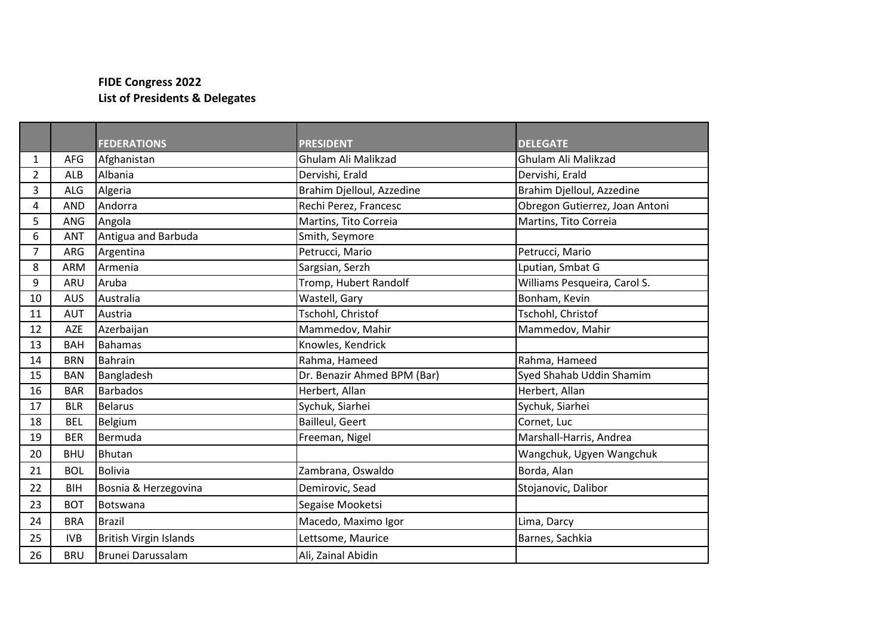## **FIDE Congress 2022 List of Presidents & Delegates**

|                |            | <b>FEDERATIONS</b>            | <b>PRESIDENT</b>            | <b>DELEGATE</b>                |
|----------------|------------|-------------------------------|-----------------------------|--------------------------------|
| 1              | AFG        | Afghanistan                   | Ghulam Ali Malikzad         | Ghulam Ali Malikzad            |
| $\overline{2}$ | <b>ALB</b> | Albania                       | Dervishi, Erald             | Dervishi, Erald                |
| 3              | ALG        | Algeria                       | Brahim Djelloul, Azzedine   | Brahim Djelloul, Azzedine      |
| 4              | <b>AND</b> | Andorra                       | Rechi Perez, Francesc       | Obregon Gutierrez, Joan Antoni |
| 5              | ANG        | Angola                        | Martins, Tito Correia       | Martins, Tito Correia          |
| 6              | <b>ANT</b> | Antigua and Barbuda           | Smith, Seymore              |                                |
| 7              | ARG        | Argentina                     | Petrucci, Mario             | Petrucci, Mario                |
| 8              | <b>ARM</b> | Armenia                       | Sargsian, Serzh             | Lputian, Smbat G               |
| 9              | ARU        | Aruba                         | Tromp, Hubert Randolf       | Williams Pesqueira, Carol S.   |
| 10             | <b>AUS</b> | Australia                     | Wastell, Gary               | Bonham, Kevin                  |
| 11             | <b>AUT</b> | Austria                       | Tschohl, Christof           | Tschohl, Christof              |
| 12             | AZE        | Azerbaijan                    | Mammedov, Mahir             | Mammedov, Mahir                |
| 13             | <b>BAH</b> | <b>Bahamas</b>                | Knowles, Kendrick           |                                |
| 14             | <b>BRN</b> | <b>Bahrain</b>                | Rahma, Hameed               | Rahma, Hameed                  |
| 15             | <b>BAN</b> | Bangladesh                    | Dr. Benazir Ahmed BPM (Bar) | Syed Shahab Uddin Shamim       |
| 16             | <b>BAR</b> | <b>Barbados</b>               | Herbert, Allan              | Herbert, Allan                 |
| 17             | <b>BLR</b> | <b>Belarus</b>                | Sychuk, Siarhei             | Sychuk, Siarhei                |
| 18             | <b>BEL</b> | Belgium                       | Bailleul, Geert             | Cornet, Luc                    |
| 19             | <b>BER</b> | Bermuda                       | Freeman, Nigel              | Marshall-Harris, Andrea        |
| 20             | <b>BHU</b> | Bhutan                        |                             | Wangchuk, Ugyen Wangchuk       |
| 21             | <b>BOL</b> | <b>Bolivia</b>                | Zambrana, Oswaldo           | Borda, Alan                    |
| 22             | <b>BIH</b> | Bosnia & Herzegovina          | Demirovic, Sead             | Stojanovic, Dalibor            |
| 23             | <b>BOT</b> | Botswana                      | Segaise Mooketsi            |                                |
| 24             | <b>BRA</b> | <b>Brazil</b>                 | Macedo, Maximo Igor         | Lima, Darcy                    |
| 25             | <b>IVB</b> | <b>British Virgin Islands</b> | Lettsome, Maurice           | Barnes, Sachkia                |
| 26             | <b>BRU</b> | Brunei Darussalam             | Ali, Zainal Abidin          |                                |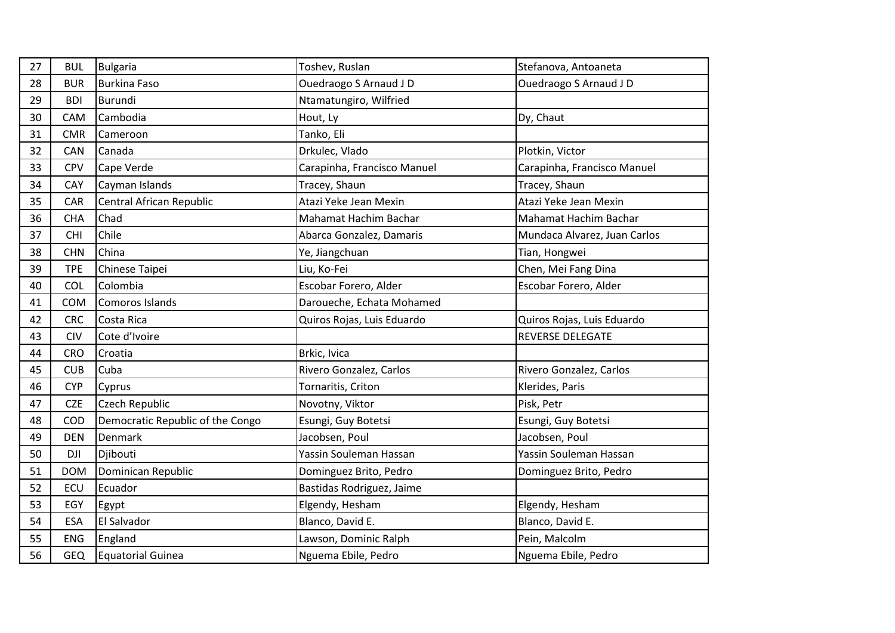| 27 | <b>BUL</b> | <b>Bulgaria</b>                  | Toshev, Ruslan              | Stefanova, Antoaneta         |
|----|------------|----------------------------------|-----------------------------|------------------------------|
| 28 | <b>BUR</b> | <b>Burkina Faso</b>              | Ouedraogo S Arnaud J D      | Ouedraogo S Arnaud J D       |
| 29 | <b>BDI</b> | Burundi                          | Ntamatungiro, Wilfried      |                              |
| 30 | CAM        | Cambodia                         | Hout, Ly                    | Dy, Chaut                    |
| 31 | <b>CMR</b> | Cameroon                         | Tanko, Eli                  |                              |
| 32 | CAN        | Canada                           | Drkulec, Vlado              | Plotkin, Victor              |
| 33 | CPV        | Cape Verde                       | Carapinha, Francisco Manuel | Carapinha, Francisco Manuel  |
| 34 | CAY        | Cayman Islands                   | Tracey, Shaun               | Tracey, Shaun                |
| 35 | CAR        | Central African Republic         | Atazi Yeke Jean Mexin       | Atazi Yeke Jean Mexin        |
| 36 | <b>CHA</b> | Chad                             | Mahamat Hachim Bachar       | Mahamat Hachim Bachar        |
| 37 | <b>CHI</b> | Chile                            | Abarca Gonzalez, Damaris    | Mundaca Alvarez, Juan Carlos |
| 38 | <b>CHN</b> | China                            | Ye, Jiangchuan              | Tian, Hongwei                |
| 39 | <b>TPE</b> | Chinese Taipei                   | Liu, Ko-Fei                 | Chen, Mei Fang Dina          |
| 40 | COL        | Colombia                         | Escobar Forero, Alder       | Escobar Forero, Alder        |
| 41 | <b>COM</b> | Comoros Islands                  | Daroueche, Echata Mohamed   |                              |
| 42 | <b>CRC</b> | Costa Rica                       | Quiros Rojas, Luis Eduardo  | Quiros Rojas, Luis Eduardo   |
| 43 | <b>CIV</b> | Cote d'Ivoire                    |                             | <b>REVERSE DELEGATE</b>      |
| 44 | <b>CRO</b> | Croatia                          | Brkic, Ivica                |                              |
| 45 | <b>CUB</b> | Cuba                             | Rivero Gonzalez, Carlos     | Rivero Gonzalez, Carlos      |
| 46 | <b>CYP</b> | Cyprus                           | Tornaritis, Criton          | Klerides, Paris              |
| 47 | <b>CZE</b> | Czech Republic                   | Novotny, Viktor             | Pisk, Petr                   |
| 48 | COD        | Democratic Republic of the Congo | Esungi, Guy Botetsi         | Esungi, Guy Botetsi          |
| 49 | <b>DEN</b> | Denmark                          | Jacobsen, Poul              | Jacobsen, Poul               |
| 50 | <b>DJI</b> | Djibouti                         | Yassin Souleman Hassan      | Yassin Souleman Hassan       |
| 51 | <b>DOM</b> | Dominican Republic               | Dominguez Brito, Pedro      | Dominguez Brito, Pedro       |
| 52 | ECU        | Ecuador                          | Bastidas Rodriguez, Jaime   |                              |
| 53 | EGY        | Egypt                            | Elgendy, Hesham             | Elgendy, Hesham              |
| 54 | <b>ESA</b> | El Salvador                      | Blanco, David E.            | Blanco, David E.             |
| 55 | <b>ENG</b> | England                          | Lawson, Dominic Ralph       | Pein, Malcolm                |
| 56 | <b>GEQ</b> | Equatorial Guinea                | Nguema Ebile, Pedro         | Nguema Ebile, Pedro          |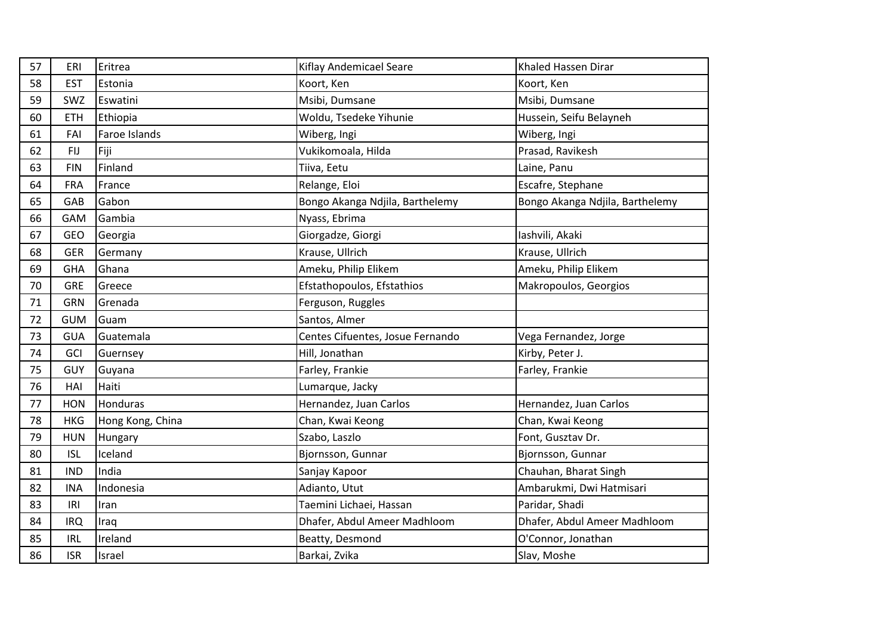| 57 | ERI        | Eritrea          | Kiflay Andemicael Seare          | Khaled Hassen Dirar             |
|----|------------|------------------|----------------------------------|---------------------------------|
| 58 | <b>EST</b> | Estonia          | Koort, Ken                       | Koort, Ken                      |
| 59 | SWZ        | Eswatini         | Msibi, Dumsane                   | Msibi, Dumsane                  |
| 60 | <b>ETH</b> | Ethiopia         | Woldu, Tsedeke Yihunie           | Hussein, Seifu Belayneh         |
| 61 | FAI        | Faroe Islands    | Wiberg, Ingi                     | Wiberg, Ingi                    |
| 62 | <b>FIJ</b> | Fiji             | Vukikomoala, Hilda               | Prasad, Ravikesh                |
| 63 | <b>FIN</b> | Finland          | Tiiva, Eetu                      | Laine, Panu                     |
| 64 | <b>FRA</b> | France           | Relange, Eloi                    | Escafre, Stephane               |
| 65 | GAB        | Gabon            | Bongo Akanga Ndjila, Barthelemy  | Bongo Akanga Ndjila, Barthelemy |
| 66 | GAM        | Gambia           | Nyass, Ebrima                    |                                 |
| 67 | GEO        | Georgia          | Giorgadze, Giorgi                | Iashvili, Akaki                 |
| 68 | <b>GER</b> | Germany          | Krause, Ullrich                  | Krause, Ullrich                 |
| 69 | <b>GHA</b> | Ghana            | Ameku, Philip Elikem             | Ameku, Philip Elikem            |
| 70 | <b>GRE</b> | Greece           | Efstathopoulos, Efstathios       | Makropoulos, Georgios           |
| 71 | <b>GRN</b> | Grenada          | Ferguson, Ruggles                |                                 |
| 72 | <b>GUM</b> | Guam             | Santos, Almer                    |                                 |
| 73 | <b>GUA</b> | Guatemala        | Centes Cifuentes, Josue Fernando | Vega Fernandez, Jorge           |
| 74 | GCI        | Guernsey         | Hill, Jonathan                   | Kirby, Peter J.                 |
| 75 | GUY        | Guyana           | Farley, Frankie                  | Farley, Frankie                 |
| 76 | HAI        | Haiti            | Lumarque, Jacky                  |                                 |
| 77 | <b>HON</b> | Honduras         | Hernandez, Juan Carlos           | Hernandez, Juan Carlos          |
| 78 | <b>HKG</b> | Hong Kong, China | Chan, Kwai Keong                 | Chan, Kwai Keong                |
| 79 | <b>HUN</b> | Hungary          | Szabo, Laszlo                    | Font, Gusztav Dr.               |
| 80 | <b>ISL</b> | Iceland          | Bjornsson, Gunnar                | Bjornsson, Gunnar               |
| 81 | <b>IND</b> | India            | Sanjay Kapoor                    | Chauhan, Bharat Singh           |
| 82 | <b>INA</b> | Indonesia        | Adianto, Utut                    | Ambarukmi, Dwi Hatmisari        |
| 83 | IRI        | Iran             | Taemini Lichaei, Hassan          | Paridar, Shadi                  |
| 84 | <b>IRQ</b> | Iraq             | Dhafer, Abdul Ameer Madhloom     | Dhafer, Abdul Ameer Madhloom    |
| 85 | <b>IRL</b> | Ireland          | Beatty, Desmond                  | O'Connor, Jonathan              |
| 86 | <b>ISR</b> | Israel           | Barkai, Zvika                    | Slav, Moshe                     |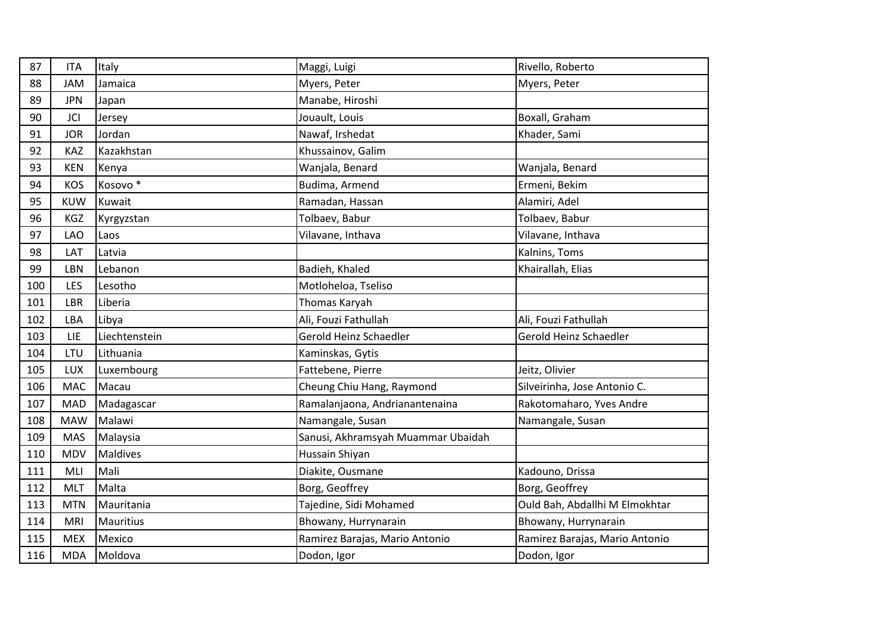| 87  | <b>ITA</b> | Italy               | Maggi, Luigi                       | Rivello, Roberto               |
|-----|------------|---------------------|------------------------------------|--------------------------------|
| 88  | <b>JAM</b> | Jamaica             | Myers, Peter                       | Myers, Peter                   |
| 89  | <b>JPN</b> | Japan               | Manabe, Hiroshi                    |                                |
| 90  | <b>JCI</b> | Jersey              | Jouault, Louis                     | Boxall, Graham                 |
| 91  | <b>JOR</b> | Jordan              | Nawaf, Irshedat                    | Khader, Sami                   |
| 92  | KAZ        | Kazakhstan          | Khussainov, Galim                  |                                |
| 93  | <b>KEN</b> | Kenya               | Wanjala, Benard                    | Wanjala, Benard                |
| 94  | <b>KOS</b> | Kosovo <sup>*</sup> | Budima, Armend                     | Ermeni, Bekim                  |
| 95  | <b>KUW</b> | Kuwait              | Ramadan, Hassan                    | Alamiri, Adel                  |
| 96  | KGZ        | Kyrgyzstan          | Tolbaev, Babur                     | Tolbaev, Babur                 |
| 97  | LAO        | Laos                | Vilavane, Inthava                  | Vilavane, Inthava              |
| 98  | LAT        | Latvia              |                                    | Kalnins, Toms                  |
| 99  | LBN        | Lebanon             | Badieh, Khaled                     | Khairallah, Elias              |
| 100 | LES        | Lesotho             | Motloheloa, Tseliso                |                                |
| 101 | LBR        | Liberia             | Thomas Karyah                      |                                |
| 102 | LBA        | Libya               | Ali, Fouzi Fathullah               | Ali, Fouzi Fathullah           |
| 103 | LIE        | Liechtenstein       | Gerold Heinz Schaedler             | Gerold Heinz Schaedler         |
| 104 | LTU        | Lithuania           | Kaminskas, Gytis                   |                                |
| 105 | LUX        | Luxembourg          | Fattebene, Pierre                  | Jeitz, Olivier                 |
| 106 | MAC        | Macau               | Cheung Chiu Hang, Raymond          | Silveirinha, Jose Antonio C.   |
| 107 | <b>MAD</b> | Madagascar          | Ramalanjaona, Andrianantenaina     | Rakotomaharo, Yves Andre       |
| 108 | <b>MAW</b> | Malawi              | Namangale, Susan                   | Namangale, Susan               |
| 109 | <b>MAS</b> | Malaysia            | Sanusi, Akhramsyah Muammar Ubaidah |                                |
| 110 | <b>MDV</b> | Maldives            | Hussain Shiyan                     |                                |
| 111 | MLI        | Mali                | Diakite, Ousmane                   | Kadouno, Drissa                |
| 112 | <b>MLT</b> | Malta               | Borg, Geoffrey                     | Borg, Geoffrey                 |
| 113 | <b>MTN</b> | Mauritania          | Tajedine, Sidi Mohamed             | Ould Bah, Abdallhi M Elmokhtar |
| 114 | <b>MRI</b> | Mauritius           | Bhowany, Hurrynarain               | Bhowany, Hurrynarain           |
| 115 | <b>MEX</b> | Mexico              | Ramirez Barajas, Mario Antonio     | Ramirez Barajas, Mario Antonio |
| 116 | <b>MDA</b> | Moldova             | Dodon, Igor                        | Dodon, Igor                    |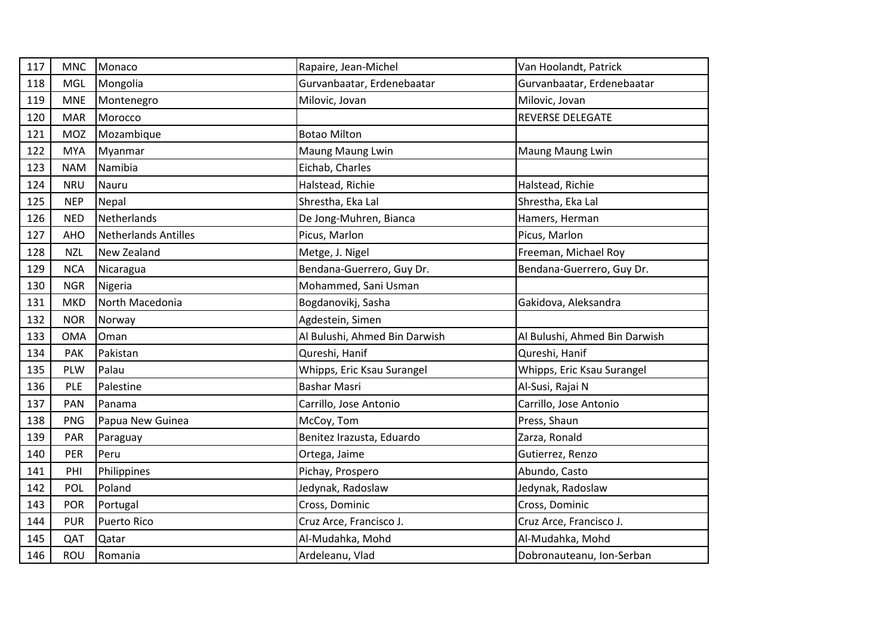| 117 | <b>MNC</b> | Monaco                      | Rapaire, Jean-Michel          | Van Hoolandt, Patrick         |
|-----|------------|-----------------------------|-------------------------------|-------------------------------|
| 118 | MGL        | Mongolia                    | Gurvanbaatar, Erdenebaatar    | Gurvanbaatar, Erdenebaatar    |
| 119 | <b>MNE</b> | Montenegro                  | Milovic, Jovan                | Milovic, Jovan                |
| 120 | <b>MAR</b> | Morocco                     |                               | <b>REVERSE DELEGATE</b>       |
| 121 | MOZ        | Mozambique                  | <b>Botao Milton</b>           |                               |
| 122 | <b>MYA</b> | Myanmar                     | Maung Maung Lwin              | Maung Maung Lwin              |
| 123 | <b>NAM</b> | Namibia                     | Eichab, Charles               |                               |
| 124 | <b>NRU</b> | Nauru                       | Halstead, Richie              | Halstead, Richie              |
| 125 | <b>NEP</b> | Nepal                       | Shrestha, Eka Lal             | Shrestha, Eka Lal             |
| 126 | <b>NED</b> | Netherlands                 | De Jong-Muhren, Bianca        | Hamers, Herman                |
| 127 | AHO        | <b>Netherlands Antilles</b> | Picus, Marlon                 | Picus, Marlon                 |
| 128 | <b>NZL</b> | New Zealand                 | Metge, J. Nigel               | Freeman, Michael Roy          |
| 129 | <b>NCA</b> | Nicaragua                   | Bendana-Guerrero, Guy Dr.     | Bendana-Guerrero, Guy Dr.     |
| 130 | <b>NGR</b> | Nigeria                     | Mohammed, Sani Usman          |                               |
| 131 | <b>MKD</b> | North Macedonia             | Bogdanovikj, Sasha            | Gakidova, Aleksandra          |
| 132 | <b>NOR</b> | Norway                      | Agdestein, Simen              |                               |
| 133 | <b>OMA</b> | Oman                        | Al Bulushi, Ahmed Bin Darwish | Al Bulushi, Ahmed Bin Darwish |
| 134 | <b>PAK</b> | Pakistan                    | Qureshi, Hanif                | Qureshi, Hanif                |
| 135 | <b>PLW</b> | Palau                       | Whipps, Eric Ksau Surangel    | Whipps, Eric Ksau Surangel    |
| 136 | PLE        | Palestine                   | Bashar Masri                  | Al-Susi, Rajai N              |
| 137 | <b>PAN</b> | Panama                      | Carrillo, Jose Antonio        | Carrillo, Jose Antonio        |
| 138 | <b>PNG</b> | Papua New Guinea            | McCoy, Tom                    | Press, Shaun                  |
| 139 | PAR        | Paraguay                    | Benitez Irazusta, Eduardo     | Zarza, Ronald                 |
| 140 | PER        | Peru                        | Ortega, Jaime                 | Gutierrez, Renzo              |
| 141 | PHI        | Philippines                 | Pichay, Prospero              | Abundo, Casto                 |
| 142 | POL        | Poland                      | Jedynak, Radoslaw             | Jedynak, Radoslaw             |
| 143 | <b>POR</b> | Portugal                    | Cross, Dominic                | Cross, Dominic                |
| 144 | <b>PUR</b> | <b>Puerto Rico</b>          | Cruz Arce, Francisco J.       | Cruz Arce, Francisco J.       |
| 145 | QAT        | Qatar                       | Al-Mudahka, Mohd              | Al-Mudahka, Mohd              |
| 146 | ROU        | Romania                     | Ardeleanu, Vlad               | Dobronauteanu, Ion-Serban     |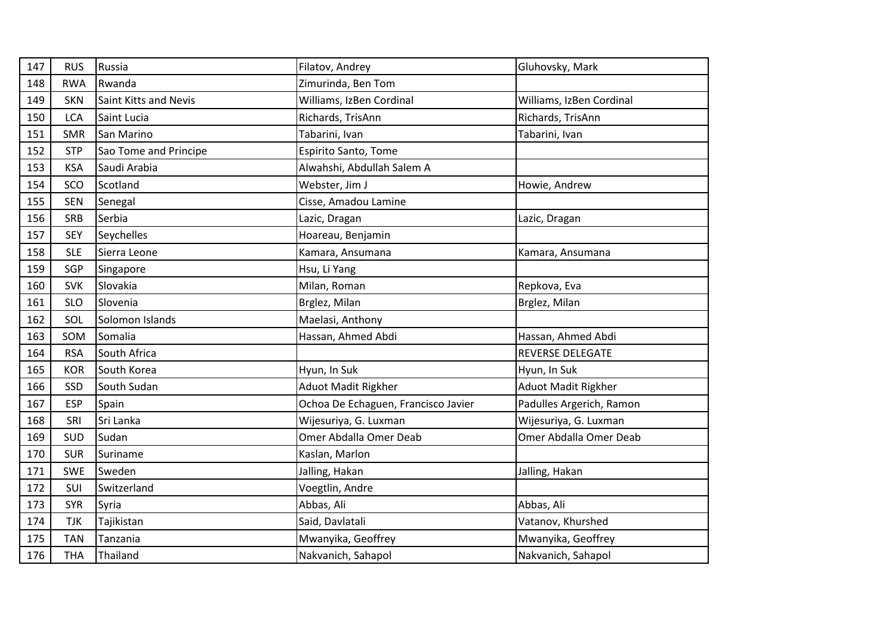| 147 | <b>RUS</b> | Russia                | Filatov, Andrey                     | Gluhovsky, Mark            |
|-----|------------|-----------------------|-------------------------------------|----------------------------|
| 148 | <b>RWA</b> | Rwanda                | Zimurinda, Ben Tom                  |                            |
| 149 | <b>SKN</b> | Saint Kitts and Nevis | Williams, IzBen Cordinal            | Williams, IzBen Cordinal   |
| 150 | <b>LCA</b> | Saint Lucia           | Richards, TrisAnn                   | Richards, TrisAnn          |
| 151 | <b>SMR</b> | San Marino            | Tabarini, Ivan                      | Tabarini, Ivan             |
| 152 | <b>STP</b> | Sao Tome and Principe | Espirito Santo, Tome                |                            |
| 153 | <b>KSA</b> | Saudi Arabia          | Alwahshi, Abdullah Salem A          |                            |
| 154 | SCO        | Scotland              | Webster, Jim J                      | Howie, Andrew              |
| 155 | <b>SEN</b> | Senegal               | Cisse, Amadou Lamine                |                            |
| 156 | <b>SRB</b> | Serbia                | Lazic, Dragan                       | Lazic, Dragan              |
| 157 | <b>SEY</b> | Seychelles            | Hoareau, Benjamin                   |                            |
| 158 | <b>SLE</b> | Sierra Leone          | Kamara, Ansumana                    | Kamara, Ansumana           |
| 159 | SGP        | Singapore             | Hsu, Li Yang                        |                            |
| 160 | <b>SVK</b> | Slovakia              | Milan, Roman                        | Repkova, Eva               |
| 161 | <b>SLO</b> | Slovenia              | Brglez, Milan                       | Brglez, Milan              |
| 162 | SOL        | Solomon Islands       | Maelasi, Anthony                    |                            |
| 163 | SOM        | Somalia               | Hassan, Ahmed Abdi                  | Hassan, Ahmed Abdi         |
| 164 | <b>RSA</b> | South Africa          |                                     | <b>REVERSE DELEGATE</b>    |
| 165 | <b>KOR</b> | South Korea           | Hyun, In Suk                        | Hyun, In Suk               |
| 166 | SSD        | South Sudan           | <b>Aduot Madit Rigkher</b>          | <b>Aduot Madit Rigkher</b> |
| 167 | <b>ESP</b> | Spain                 | Ochoa De Echaguen, Francisco Javier | Padulles Argerich, Ramon   |
| 168 | SRI        | Sri Lanka             | Wijesuriya, G. Luxman               | Wijesuriya, G. Luxman      |
| 169 | SUD        | Sudan                 | Omer Abdalla Omer Deab              | Omer Abdalla Omer Deab     |
| 170 | <b>SUR</b> | Suriname              | Kaslan, Marlon                      |                            |
| 171 | <b>SWE</b> | Sweden                | Jalling, Hakan                      | Jalling, Hakan             |
| 172 | SUI        | Switzerland           | Voegtlin, Andre                     |                            |
| 173 | <b>SYR</b> | Syria                 | Abbas, Ali                          | Abbas, Ali                 |
| 174 | <b>TJK</b> | Tajikistan            | Said, Davlatali                     | Vatanov, Khurshed          |
| 175 | <b>TAN</b> | Tanzania              | Mwanyika, Geoffrey                  | Mwanyika, Geoffrey         |
| 176 | <b>THA</b> | Thailand              | Nakvanich, Sahapol                  | Nakvanich, Sahapol         |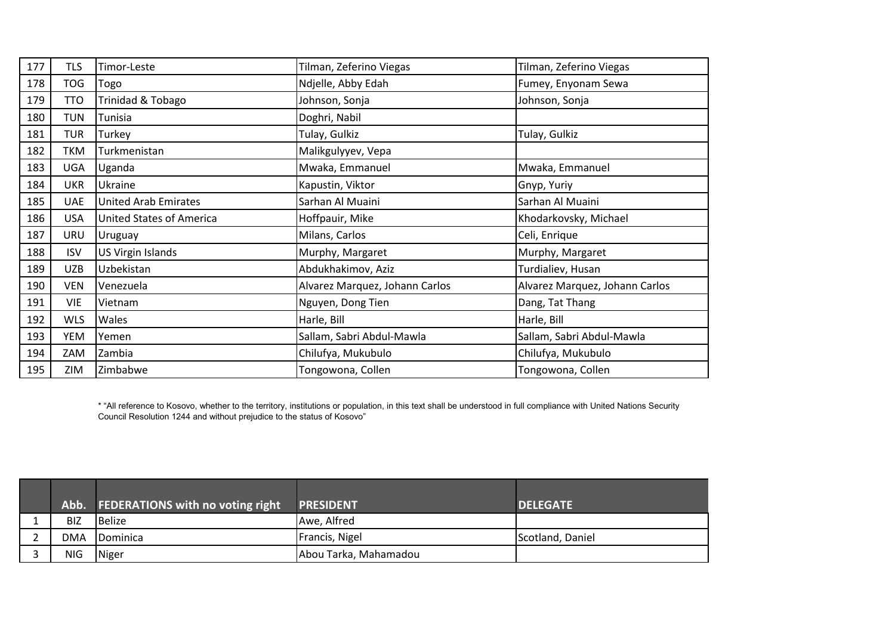| 177 | <b>TLS</b> | Timor-Leste                     | Tilman, Zeferino Viegas        | Tilman, Zeferino Viegas        |
|-----|------------|---------------------------------|--------------------------------|--------------------------------|
| 178 | <b>TOG</b> | Togo                            | Ndjelle, Abby Edah             | Fumey, Enyonam Sewa            |
| 179 | <b>TTO</b> | Trinidad & Tobago               | Johnson, Sonja                 | Johnson, Sonja                 |
| 180 | <b>TUN</b> | Tunisia                         | Doghri, Nabil                  |                                |
| 181 | <b>TUR</b> | Turkey                          | Tulay, Gulkiz                  | Tulay, Gulkiz                  |
| 182 | <b>TKM</b> | Turkmenistan                    | Malikgulyyev, Vepa             |                                |
| 183 | <b>UGA</b> | Uganda                          | Mwaka, Emmanuel                | Mwaka, Emmanuel                |
| 184 | <b>UKR</b> | Ukraine                         | Kapustin, Viktor               | Gnyp, Yuriy                    |
| 185 | <b>UAE</b> | <b>United Arab Emirates</b>     | Sarhan Al Muaini               | Sarhan Al Muaini               |
| 186 | <b>USA</b> | <b>United States of America</b> | Hoffpauir, Mike                | Khodarkovsky, Michael          |
| 187 | URU        | Uruguay                         | Milans, Carlos                 | Celi, Enrique                  |
| 188 | <b>ISV</b> | US Virgin Islands               | Murphy, Margaret               | Murphy, Margaret               |
| 189 | <b>UZB</b> | Uzbekistan                      | Abdukhakimov, Aziz             | Turdialiev, Husan              |
| 190 | <b>VEN</b> | Venezuela                       | Alvarez Marquez, Johann Carlos | Alvarez Marquez, Johann Carlos |
| 191 | <b>VIE</b> | Vietnam                         | Nguyen, Dong Tien              | Dang, Tat Thang                |
| 192 | <b>WLS</b> | Wales                           | Harle, Bill                    | Harle, Bill                    |
| 193 | YEM        | Yemen                           | Sallam, Sabri Abdul-Mawla      | Sallam, Sabri Abdul-Mawla      |
| 194 | ZAM        | Zambia                          | Chilufya, Mukubulo             | Chilufya, Mukubulo             |
| 195 | ZIM        | Zimbabwe                        | Tongowona, Collen              | Tongowona, Collen              |

\* "All reference to Kosovo, whether to the territory, institutions or population, in this text shall be understood in full compliance with United Nations Security Council Resolution 1244 and without prejudice to the status of Kosovo"

|            | Abb. FEDERATIONS with no voting right | <b>PRESIDENT</b>      | <b>DELEGATE</b>  |
|------------|---------------------------------------|-----------------------|------------------|
| <b>BIZ</b> | <b>I</b> Belize                       | Awe, Alfred           |                  |
| <b>DMA</b> | Dominica                              | Francis, Nigel        | Scotland, Daniel |
| NIG        | Niger                                 | Abou Tarka, Mahamadou |                  |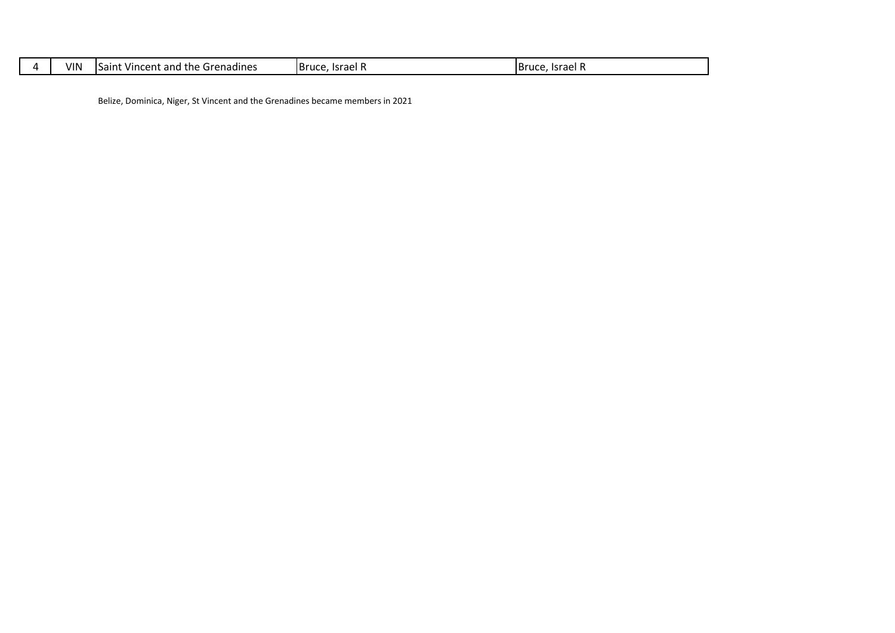| VIN | .<br>. .<br>Grenadines<br>the<br>Vincent and<br>ISaint | <b>Bruce</b><br>Israel | Israel F |
|-----|--------------------------------------------------------|------------------------|----------|
|     |                                                        |                        |          |

Belize, Dominica, Niger, St Vincent and the Grenadines became members in 2021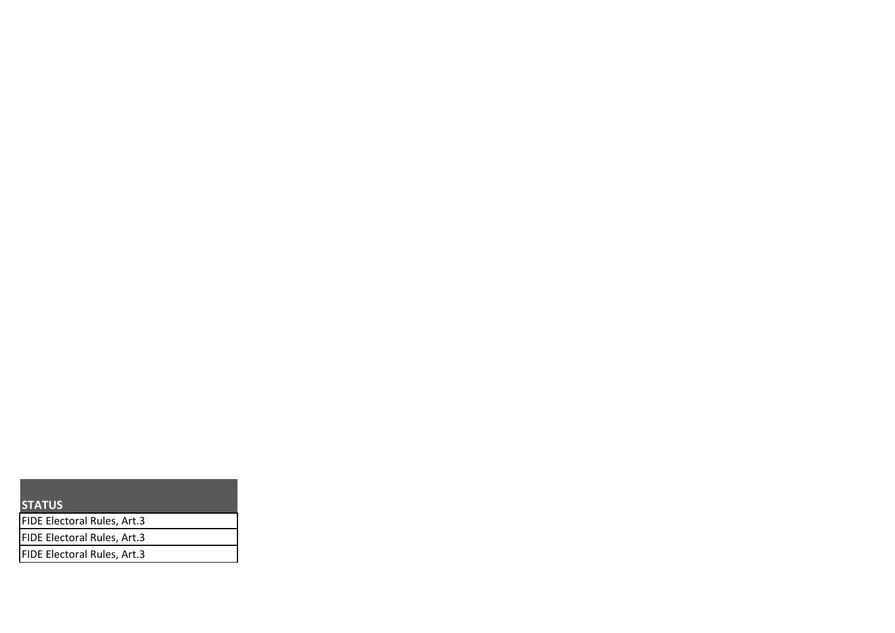| <b>STATUS</b>               |  |
|-----------------------------|--|
| FIDE Electoral Rules, Art.3 |  |
| FIDE Electoral Rules, Art.3 |  |
| FIDE Electoral Rules, Art.3 |  |